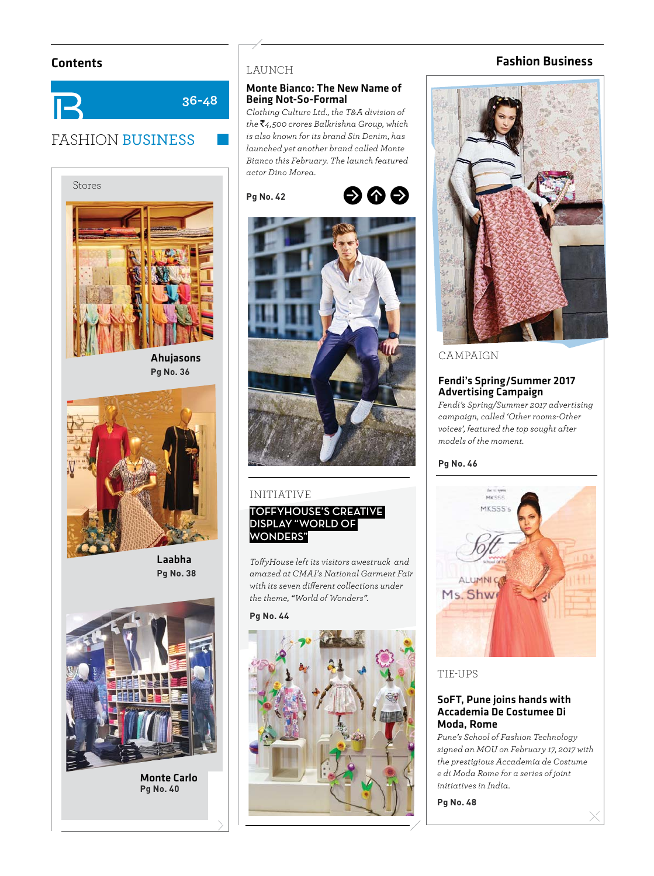# FASHION BUSINESS **36-48**



Ahujasons **Pg No. 36**



Laabha **Pa No. 38 Pg No. 38**



Monte Carlo **Pg No. 40**

### LAUNCH

#### Monte Bianco: The New Name of Being Not-So-Formal

*Clothing Culture Ltd., the T&A division of the* `*4,500 crores Balkrishna Group, which is also known for its brand Sin Denim, has launched yet another brand called Monte Bianco this February. The launch featured actor Dino Morea.* 







### INITIATIVE

## **TOFFYHOUSE'S CREATIVE**  DISPLAY "WORLD OF **WONDERS"**

*Toff yHouse left its visitors awestruck and amazed at CMAI's National Garment Fair*  with its seven different collections under *the theme, "World of Wonders".* 

**Pa No. 44** 



# Contents Fashion Business



# CAMPAIGN

### Fendi's Spring/Summer 2017 Advertising Campaign

*Fendi's Spring/Summer 2017 advertising campaign, called 'Other rooms-Other voices', featured the top sought after models of the moment.*



# TIE-UPS

## SoFT, Pune joins hands with Accademia De Costumee Di Moda, Rome

*Pune's School of Fashion Technology signed an MOU on February 17, 2017 with the prestigious Accademia de Costume e di Moda Rome for a series of joint initiatives in India.*

**Pg No. 48**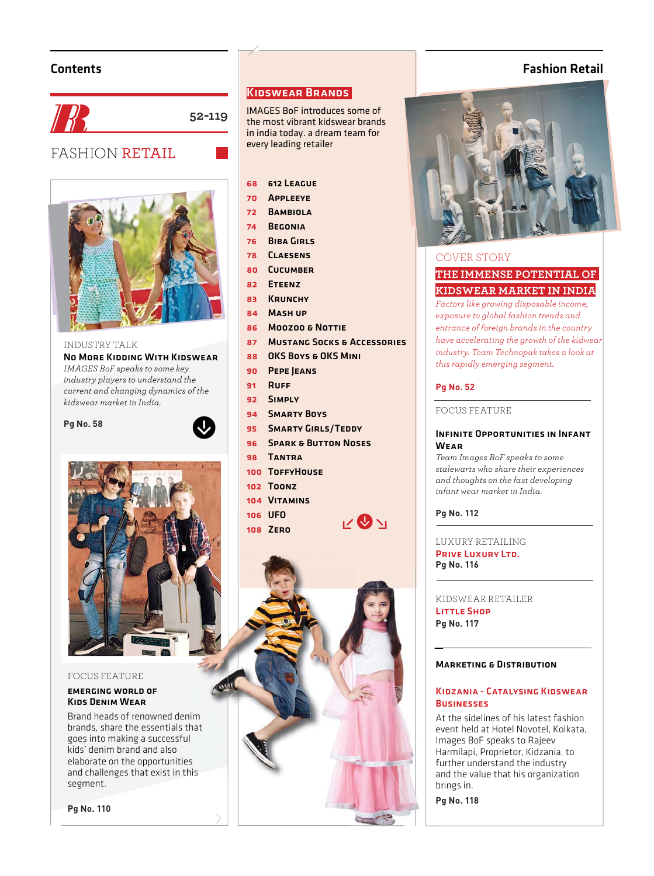# Contents



INDUSTRY TALK No More Kidding With Kidswear*IMAGES BoF speaks to some key industry players to understand the current and changing dynamics of the kidswear market in India.* 







#### FOCUS FEATURE

#### emerging world ofKids Denim Wear

Brand heads of renowned denim denim brands, share the essentials that goes into making a successful kids' denim brand and also goes into making a successful<br>kids' denim brand and also<br>elaborate on the opportunities and challenges that exist in this segment.

**Pg No. 110**

# Kidswear Brands

IMAGES BoF introduces some of the most vibrant kidswear brands in india today. a dream team for every leading retailer

#### 68612 League

- 70 Appleeye
- 72 Bambiola
- 74 Begonia
- 76 Biba Girls
- 78 Claesens
- 80 Cucumber
- 82 ETEENZ
- 83 KRUNCHY
- 84 Mash up
- 86 Moozoo & Nottie
- 87 Mustang Socks & Accessories
- 88 OKS Boys & OKS MINI
- 90 PEPE JEANS
- 91 Ruff
- 92 Simply
- 94 Smarty Boys
- 95 **SMARTY GIRLS/TEDDY**
- **96 SPARK & BUTTON NOSES**

 $v\otimes v_1$ 

- 98 Tantra
- 100 TOFFYHOUSE
- 102 Toonz
- 104 Vitamins
- 106 UFO
- 108 Zero



# Fashion Retail



#### COVER STORY

# **THE IMMENSE POTENTIAL OF KIDSWEAR MARKET IN INDIA**

*Factors like growing disposable income, exposure to global fashion trends and entrance of foreign brands in the country have accelerating the growth of the kidwear* 

*industry. Team Technopak takes a look at* 

*this rapidly emerging segment.*

# **Pg No. 52**

#### FOCUS FEATURE

#### INFINITE OPPORTUNITIES IN INFANT **WEAR**

*Team Images BoF speaks to some stalewarts who share their experiences and thoughts on the fast developing infant wear market in India.*

**Pg No. 112**

LUXURY RETAILING PRIVE LUXURY LTD. **Pg No. 116**

KIDSWEAR RETAILER KI LITTLE SHOP **Pg No. 117 Pg**

#### **MARKETING & DISTRIBUTION**

#### Kidzania - Catalysing Kidswear Ki **BUSINESSES**

At the sidelines of his latest fashion At event held at Hotel Novotel, Kolkata, ev Images BoF speaks to Rajeev Im Harmilapi, Proprietor, Kidzania, to Ha further understand the industry fu and the value that his organization an brings in. br

**Pg No. 118 Pg**